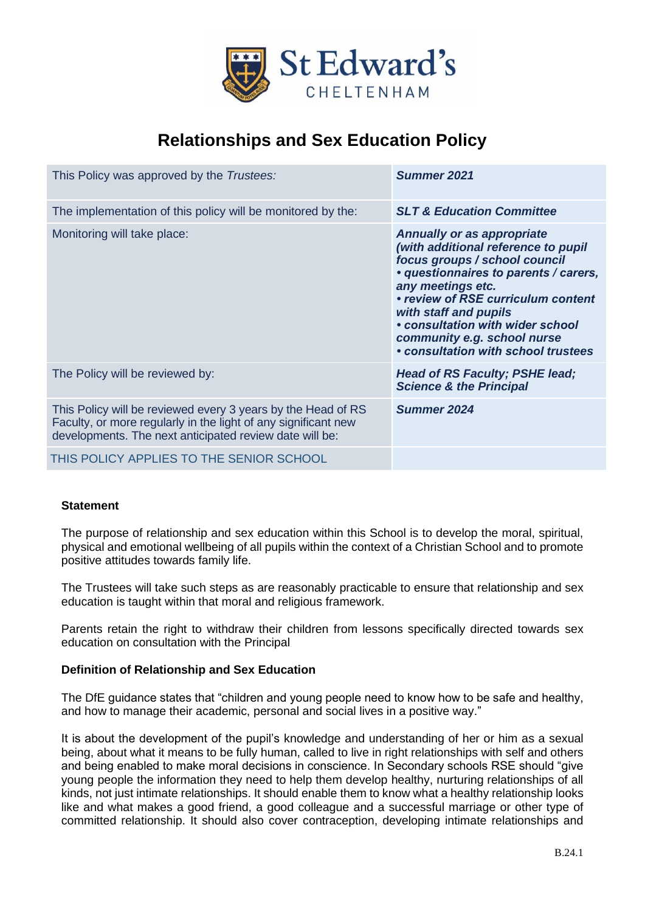

# **Relationships and Sex Education Policy**

| This Policy was approved by the Trustees:                                                                                                                                                 | Summer 2021                                                                                                                                                                                                                                                                                                                                      |
|-------------------------------------------------------------------------------------------------------------------------------------------------------------------------------------------|--------------------------------------------------------------------------------------------------------------------------------------------------------------------------------------------------------------------------------------------------------------------------------------------------------------------------------------------------|
| The implementation of this policy will be monitored by the:                                                                                                                               | <b>SLT &amp; Education Committee</b>                                                                                                                                                                                                                                                                                                             |
| Monitoring will take place:                                                                                                                                                               | <b>Annually or as appropriate</b><br>(with additional reference to pupil<br>focus groups / school council<br>· questionnaires to parents / carers,<br>any meetings etc.<br>• review of RSE curriculum content<br>with staff and pupils<br>• consultation with wider school<br>community e.g. school nurse<br>• consultation with school trustees |
| The Policy will be reviewed by:                                                                                                                                                           | Head of RS Faculty; PSHE lead;<br><b>Science &amp; the Principal</b>                                                                                                                                                                                                                                                                             |
| This Policy will be reviewed every 3 years by the Head of RS<br>Faculty, or more regularly in the light of any significant new<br>developments. The next anticipated review date will be: | Summer 2024                                                                                                                                                                                                                                                                                                                                      |
| THIS POLICY APPLIES TO THE SENIOR SCHOOL                                                                                                                                                  |                                                                                                                                                                                                                                                                                                                                                  |

# **Statement**

The purpose of relationship and sex education within this School is to develop the moral, spiritual, physical and emotional wellbeing of all pupils within the context of a Christian School and to promote positive attitudes towards family life.

The Trustees will take such steps as are reasonably practicable to ensure that relationship and sex education is taught within that moral and religious framework.

Parents retain the right to withdraw their children from lessons specifically directed towards sex education on consultation with the Principal

# **Definition of Relationship and Sex Education**

The DfE guidance states that "children and young people need to know how to be safe and healthy, and how to manage their academic, personal and social lives in a positive way."

It is about the development of the pupil's knowledge and understanding of her or him as a sexual being, about what it means to be fully human, called to live in right relationships with self and others and being enabled to make moral decisions in conscience. In Secondary schools RSE should "give young people the information they need to help them develop healthy, nurturing relationships of all kinds, not just intimate relationships. It should enable them to know what a healthy relationship looks like and what makes a good friend, a good colleague and a successful marriage or other type of committed relationship. It should also cover contraception, developing intimate relationships and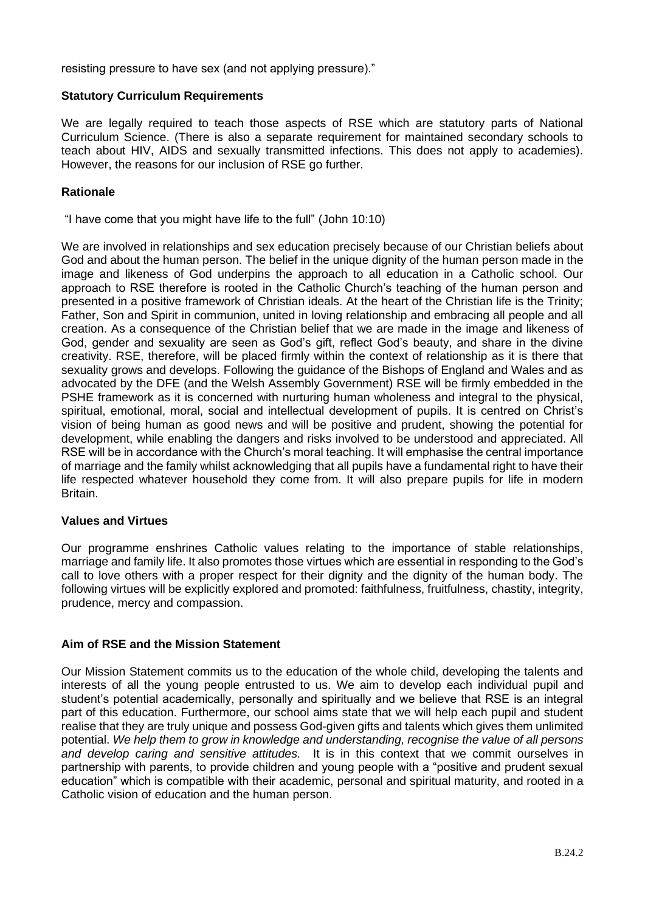resisting pressure to have sex (and not applying pressure)."

## **Statutory Curriculum Requirements**

We are legally required to teach those aspects of RSE which are statutory parts of National Curriculum Science. (There is also a separate requirement for maintained secondary schools to teach about HIV, AIDS and sexually transmitted infections. This does not apply to academies). However, the reasons for our inclusion of RSE go further.

## **Rationale**

"I have come that you might have life to the full" (John 10:10)

We are involved in relationships and sex education precisely because of our Christian beliefs about God and about the human person. The belief in the unique dignity of the human person made in the image and likeness of God underpins the approach to all education in a Catholic school. Our approach to RSE therefore is rooted in the Catholic Church's teaching of the human person and presented in a positive framework of Christian ideals. At the heart of the Christian life is the Trinity; Father, Son and Spirit in communion, united in loving relationship and embracing all people and all creation. As a consequence of the Christian belief that we are made in the image and likeness of God, gender and sexuality are seen as God's gift, reflect God's beauty, and share in the divine creativity. RSE, therefore, will be placed firmly within the context of relationship as it is there that sexuality grows and develops. Following the guidance of the Bishops of England and Wales and as advocated by the DFE (and the Welsh Assembly Government) RSE will be firmly embedded in the PSHE framework as it is concerned with nurturing human wholeness and integral to the physical, spiritual, emotional, moral, social and intellectual development of pupils. It is centred on Christ's vision of being human as good news and will be positive and prudent, showing the potential for development, while enabling the dangers and risks involved to be understood and appreciated. All RSE will be in accordance with the Church's moral teaching. It will emphasise the central importance of marriage and the family whilst acknowledging that all pupils have a fundamental right to have their life respected whatever household they come from. It will also prepare pupils for life in modern Britain.

# **Values and Virtues**

Our programme enshrines Catholic values relating to the importance of stable relationships, marriage and family life. It also promotes those virtues which are essential in responding to the God's call to love others with a proper respect for their dignity and the dignity of the human body. The following virtues will be explicitly explored and promoted: faithfulness, fruitfulness, chastity, integrity, prudence, mercy and compassion.

# **Aim of RSE and the Mission Statement**

Our Mission Statement commits us to the education of the whole child, developing the talents and interests of all the young people entrusted to us. We aim to develop each individual pupil and student's potential academically, personally and spiritually and we believe that RSE is an integral part of this education. Furthermore, our school aims state that we will help each pupil and student realise that they are truly unique and possess God-given gifts and talents which gives them unlimited potential. *We help them to grow in knowledge and understanding, recognise the value of all persons and develop caring and sensitive attitudes.* It is in this context that we commit ourselves in partnership with parents, to provide children and young people with a "positive and prudent sexual education" which is compatible with their academic, personal and spiritual maturity, and rooted in a Catholic vision of education and the human person.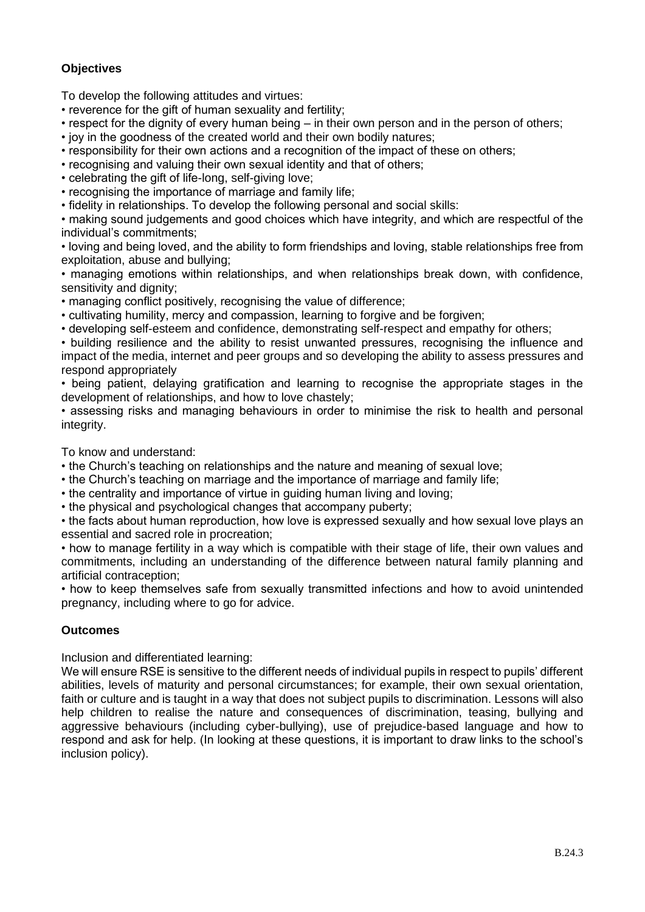# **Objectives**

To develop the following attitudes and virtues:

• reverence for the gift of human sexuality and fertility;

- respect for the dignity of every human being in their own person and in the person of others;
- joy in the goodness of the created world and their own bodily natures;
- responsibility for their own actions and a recognition of the impact of these on others;
- recognising and valuing their own sexual identity and that of others;
- celebrating the gift of life-long, self-giving love;
- recognising the importance of marriage and family life;

• fidelity in relationships. To develop the following personal and social skills:

• making sound judgements and good choices which have integrity, and which are respectful of the individual's commitments;

• loving and being loved, and the ability to form friendships and loving, stable relationships free from exploitation, abuse and bullying;

• managing emotions within relationships, and when relationships break down, with confidence, sensitivity and dignity:

• managing conflict positively, recognising the value of difference;

• cultivating humility, mercy and compassion, learning to forgive and be forgiven;

• developing self-esteem and confidence, demonstrating self-respect and empathy for others;

• building resilience and the ability to resist unwanted pressures, recognising the influence and impact of the media, internet and peer groups and so developing the ability to assess pressures and respond appropriately

• being patient, delaying gratification and learning to recognise the appropriate stages in the development of relationships, and how to love chastely;

• assessing risks and managing behaviours in order to minimise the risk to health and personal integrity.

To know and understand:

• the Church's teaching on relationships and the nature and meaning of sexual love;

- the Church's teaching on marriage and the importance of marriage and family life;
- the centrality and importance of virtue in guiding human living and loving;

• the physical and psychological changes that accompany puberty;

• the facts about human reproduction, how love is expressed sexually and how sexual love plays an essential and sacred role in procreation;

• how to manage fertility in a way which is compatible with their stage of life, their own values and commitments, including an understanding of the difference between natural family planning and artificial contraception;

• how to keep themselves safe from sexually transmitted infections and how to avoid unintended pregnancy, including where to go for advice.

# **Outcomes**

Inclusion and differentiated learning:

We will ensure RSE is sensitive to the different needs of individual pupils in respect to pupils' different abilities, levels of maturity and personal circumstances; for example, their own sexual orientation, faith or culture and is taught in a way that does not subject pupils to discrimination. Lessons will also help children to realise the nature and consequences of discrimination, teasing, bullying and aggressive behaviours (including cyber-bullying), use of prejudice-based language and how to respond and ask for help. (In looking at these questions, it is important to draw links to the school's inclusion policy).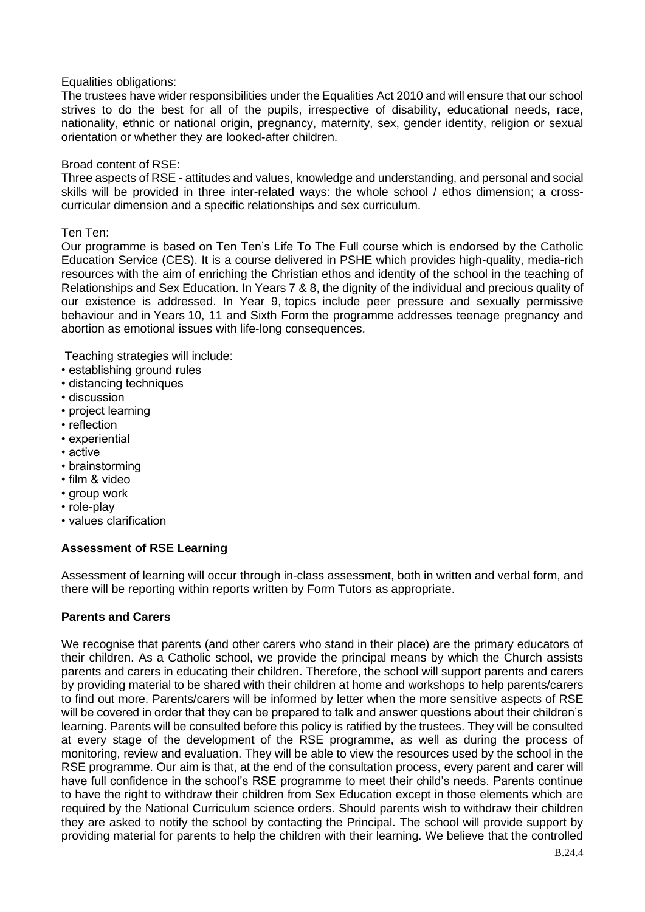## Equalities obligations:

The trustees have wider responsibilities under the Equalities Act 2010 and will ensure that our school strives to do the best for all of the pupils, irrespective of disability, educational needs, race, nationality, ethnic or national origin, pregnancy, maternity, sex, gender identity, religion or sexual orientation or whether they are looked-after children.

## Broad content of RSE:

Three aspects of RSE - attitudes and values, knowledge and understanding, and personal and social skills will be provided in three inter-related ways: the whole school / ethos dimension; a crosscurricular dimension and a specific relationships and sex curriculum.

## Ten Ten:

Our programme is based on Ten Ten's Life To The Full course which is endorsed by the Catholic Education Service (CES). It is a course delivered in PSHE which provides high-quality, media-rich resources with the aim of enriching the Christian ethos and identity of the school in the teaching of Relationships and Sex Education. In Years 7 & 8, the dignity of the individual and precious quality of our existence is addressed. In Year 9, topics include peer pressure and sexually permissive behaviour and in Years 10, 11 and Sixth Form the programme addresses teenage pregnancy and abortion as emotional issues with life-long consequences.

Teaching strategies will include:

- establishing ground rules
- distancing techniques
- discussion
- project learning
- reflection
- experiential
- active
- brainstorming
- film & video
- group work
- role-play
- values clarification

# **Assessment of RSE Learning**

Assessment of learning will occur through in-class assessment, both in written and verbal form, and there will be reporting within reports written by Form Tutors as appropriate.

# **Parents and Carers**

We recognise that parents (and other carers who stand in their place) are the primary educators of their children. As a Catholic school, we provide the principal means by which the Church assists parents and carers in educating their children. Therefore, the school will support parents and carers by providing material to be shared with their children at home and workshops to help parents/carers to find out more. Parents/carers will be informed by letter when the more sensitive aspects of RSE will be covered in order that they can be prepared to talk and answer questions about their children's learning. Parents will be consulted before this policy is ratified by the trustees. They will be consulted at every stage of the development of the RSE programme, as well as during the process of monitoring, review and evaluation. They will be able to view the resources used by the school in the RSE programme. Our aim is that, at the end of the consultation process, every parent and carer will have full confidence in the school's RSE programme to meet their child's needs. Parents continue to have the right to withdraw their children from Sex Education except in those elements which are required by the National Curriculum science orders. Should parents wish to withdraw their children they are asked to notify the school by contacting the Principal. The school will provide support by providing material for parents to help the children with their learning. We believe that the controlled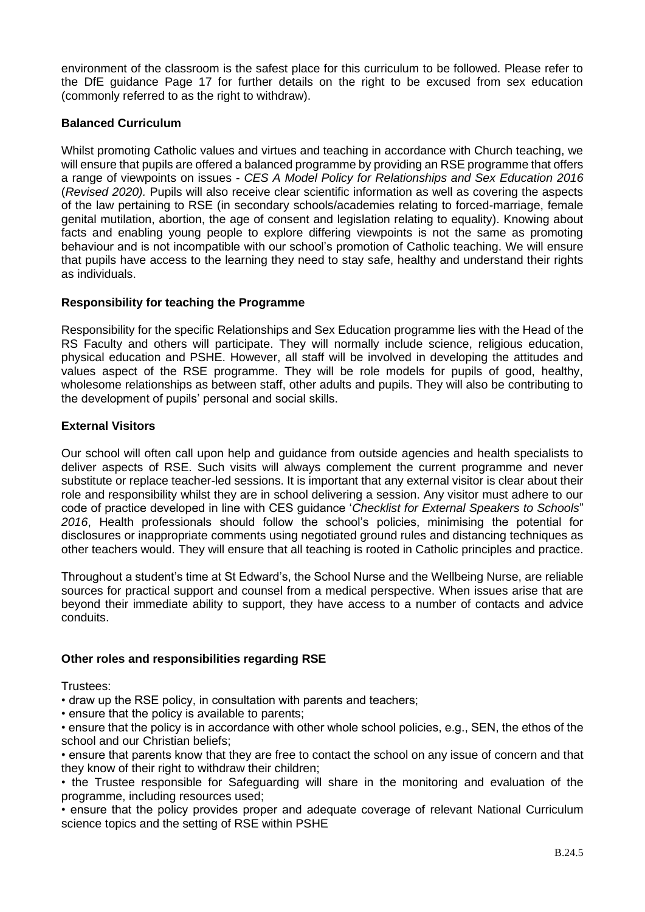environment of the classroom is the safest place for this curriculum to be followed. Please refer to the DfE guidance Page 17 for further details on the right to be excused from sex education (commonly referred to as the right to withdraw).

# **Balanced Curriculum**

Whilst promoting Catholic values and virtues and teaching in accordance with Church teaching, we will ensure that pupils are offered a balanced programme by providing an RSE programme that offers a range of viewpoints on issues - *CES A Model Policy for Relationships and Sex Education 2016* (*Revised 2020).* Pupils will also receive clear scientific information as well as covering the aspects of the law pertaining to RSE (in secondary schools/academies relating to forced-marriage, female genital mutilation, abortion, the age of consent and legislation relating to equality). Knowing about facts and enabling young people to explore differing viewpoints is not the same as promoting behaviour and is not incompatible with our school's promotion of Catholic teaching. We will ensure that pupils have access to the learning they need to stay safe, healthy and understand their rights as individuals.

# **Responsibility for teaching the Programme**

Responsibility for the specific Relationships and Sex Education programme lies with the Head of the RS Faculty and others will participate. They will normally include science, religious education, physical education and PSHE. However, all staff will be involved in developing the attitudes and values aspect of the RSE programme. They will be role models for pupils of good, healthy, wholesome relationships as between staff, other adults and pupils. They will also be contributing to the development of pupils' personal and social skills.

# **External Visitors**

Our school will often call upon help and guidance from outside agencies and health specialists to deliver aspects of RSE. Such visits will always complement the current programme and never substitute or replace teacher-led sessions. It is important that any external visitor is clear about their role and responsibility whilst they are in school delivering a session. Any visitor must adhere to our code of practice developed in line with CES guidance '*Checklist for External Speakers to Schools*" *2016*, Health professionals should follow the school's policies, minimising the potential for disclosures or inappropriate comments using negotiated ground rules and distancing techniques as other teachers would. They will ensure that all teaching is rooted in Catholic principles and practice.

Throughout a student's time at St Edward's, the School Nurse and the Wellbeing Nurse, are reliable sources for practical support and counsel from a medical perspective. When issues arise that are beyond their immediate ability to support, they have access to a number of contacts and advice conduits.

# **Other roles and responsibilities regarding RSE**

Trustees:

• draw up the RSE policy, in consultation with parents and teachers;

• ensure that the policy is available to parents;

• ensure that the policy is in accordance with other whole school policies, e.g., SEN, the ethos of the school and our Christian beliefs;

• ensure that parents know that they are free to contact the school on any issue of concern and that they know of their right to withdraw their children;

• the Trustee responsible for Safeguarding will share in the monitoring and evaluation of the programme, including resources used;

• ensure that the policy provides proper and adequate coverage of relevant National Curriculum science topics and the setting of RSE within PSHE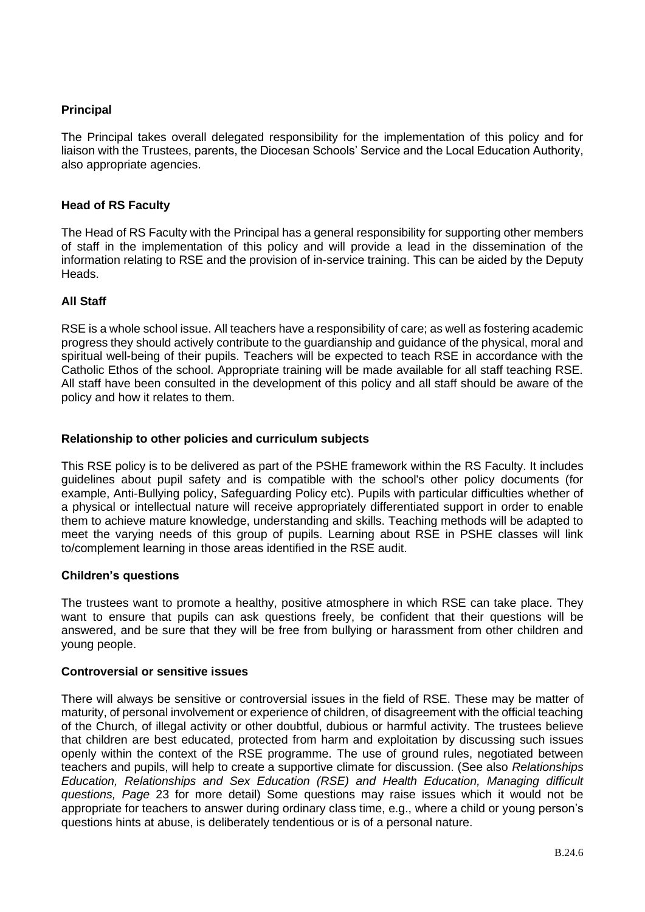# **Principal**

The Principal takes overall delegated responsibility for the implementation of this policy and for liaison with the Trustees, parents, the Diocesan Schools' Service and the Local Education Authority, also appropriate agencies.

## **Head of RS Faculty**

The Head of RS Faculty with the Principal has a general responsibility for supporting other members of staff in the implementation of this policy and will provide a lead in the dissemination of the information relating to RSE and the provision of in-service training. This can be aided by the Deputy Heads.

#### **All Staff**

RSE is a whole school issue. All teachers have a responsibility of care; as well as fostering academic progress they should actively contribute to the guardianship and guidance of the physical, moral and spiritual well-being of their pupils. Teachers will be expected to teach RSE in accordance with the Catholic Ethos of the school. Appropriate training will be made available for all staff teaching RSE. All staff have been consulted in the development of this policy and all staff should be aware of the policy and how it relates to them.

#### **Relationship to other policies and curriculum subjects**

This RSE policy is to be delivered as part of the PSHE framework within the RS Faculty. It includes guidelines about pupil safety and is compatible with the school's other policy documents (for example, Anti-Bullying policy, Safeguarding Policy etc). Pupils with particular difficulties whether of a physical or intellectual nature will receive appropriately differentiated support in order to enable them to achieve mature knowledge, understanding and skills. Teaching methods will be adapted to meet the varying needs of this group of pupils. Learning about RSE in PSHE classes will link to/complement learning in those areas identified in the RSE audit.

#### **Children's questions**

The trustees want to promote a healthy, positive atmosphere in which RSE can take place. They want to ensure that pupils can ask questions freely, be confident that their questions will be answered, and be sure that they will be free from bullying or harassment from other children and young people.

#### **Controversial or sensitive issues**

There will always be sensitive or controversial issues in the field of RSE. These may be matter of maturity, of personal involvement or experience of children, of disagreement with the official teaching of the Church, of illegal activity or other doubtful, dubious or harmful activity. The trustees believe that children are best educated, protected from harm and exploitation by discussing such issues openly within the context of the RSE programme. The use of ground rules, negotiated between teachers and pupils, will help to create a supportive climate for discussion. (See also *Relationships Education, Relationships and Sex Education (RSE) and Health Education, Managing difficult questions, Page* 23 for more detail) Some questions may raise issues which it would not be appropriate for teachers to answer during ordinary class time, e.g., where a child or young person's questions hints at abuse, is deliberately tendentious or is of a personal nature.